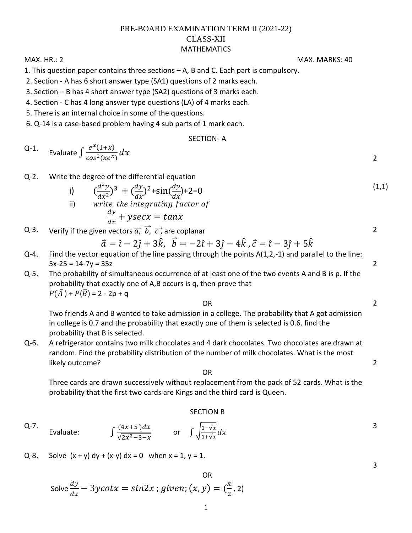## PRE-BOARD EXAMINATION TERM II (2021-22) CLASS-XII MATHEMATICS

1. This question paper contains three sections – A, B and C. Each part is compulsory.

- 2. Section A has 6 short answer type (SA1) questions of 2 marks each.
- 3. Section B has 4 short answer type (SA2) questions of 3 marks each.
- 4. Section C has 4 long answer type questions (LA) of 4 marks each.
- 5. There is an internal choice in some of the questions.

6. Q-14 is a case-based problem having 4 sub parts of 1 mark each.

## SECTION- A

Q-1. Evaluate 
$$
\int \frac{e^x(1+x)}{\cos^2(xe^x)} dx
$$

Q-2. Write the degree of the differential equation

i) 
$$
\left(\frac{d^2y}{dx^2}\right)^3 + \left(\frac{dy}{dx}\right)^2 + \sin\left(\frac{dy}{dx}\right) + 2 = 0
$$
  
\nii) write the integrating factor of  
\n
$$
\frac{dy}{dx} + y\sec x = \tan x
$$
\n(1.1)

Q-3. Verify if the given vectors  $\vec{a}$ ,  $\vec{b}$ ,  $\vec{c}$ , are coplanar

$$
\vec{a} = \hat{i} - 2\hat{j} + 3\hat{k}, \ \vec{b} = -2\hat{i} + 3\hat{j} - 4\hat{k}, \ \vec{c} = \hat{i} - 3\hat{j} + 5\hat{k}
$$

- $Q$ -4. Find the vector equation of the line passing through the points  $A(1,2,-1)$  and parallel to the line:  $5x-25 = 14-7y = 35z$  2
- Q-5. The probability of simultaneous occurrence of at least one of the two events A and B is p. If the probability that exactly one of A,B occurs is q, then prove that  $P(\bar{A}) + P(\bar{B}) = 2 - 2p + q$

OR

Two friends A and B wanted to take admission in a college. The probability that A got admission in college is 0.7 and the probability that exactly one of them is selected is 0.6. find the probability that B is selected.

Q-6. A refrigerator contains two milk chocolates and 4 dark chocolates. Two chocolates are drawn at random. Find the probability distribution of the number of milk chocolates. What is the most likely outcome?

OR

Three cards are drawn successively without replacement from the pack of 52 cards. What is the probability that the first two cards are Kings and the third card is Queen.

## SECTION B

- Q-7. Evaluate: ∫  $(4x+5)d$  $\frac{(4x+5)dx}{\sqrt{2x^2-3-x}}$  or  $\int \sqrt{\frac{1-\sqrt{x}}{1+\sqrt{x}}}$  $\frac{1-\sqrt{x}}{1+\sqrt{x}}d$
- Q-8. Solve  $(x + y) dy + (x-y) dx = 0$  when  $x = 1$ ,  $y = 1$ .

Solve 
$$
\frac{dy}{dx} - 3y \cot x = \sin 2x
$$
; given;  $(x, y) = \left(\frac{\pi}{2}, 2\right)$ 

MAX. HR.: 2 MAX. MARKS: 40

2

2

2

2

3

3